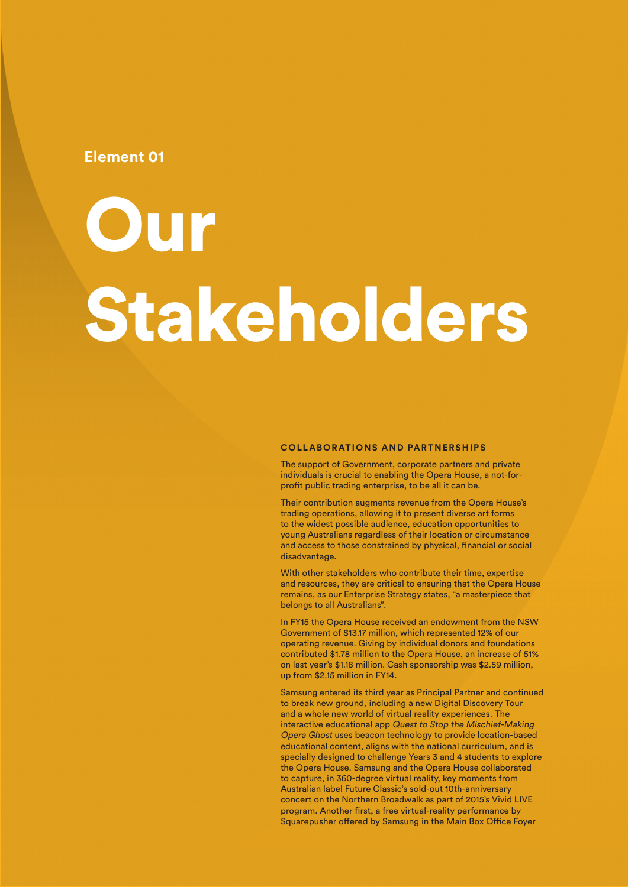### **Element 01**

# **Our** Stakeholders

#### **COLLABORATIONS AND PARTNERSHIPS**

The support of Government, corporate partners and private individuals is crucial to enabling the Opera House, a not-forprofit public trading enterprise, to be all it can be.

Their contribution augments revenue from the Opera House's trading operations, allowing it to present diverse art forms to the widest possible audience, education opportunities to young Australians regardless of their location or circumstance and access to those constrained by physical, financial or social disadvantage.

With other stakeholders who contribute their time, expertise and resources, they are critical to ensuring that the Opera House remains, as our Enterprise Strategy states, "a masterpiece that belongs to all Australians".

In FY15 the Opera House received an endowment from the NSW Government of \$13.17 million, which represented 12% of our operating revenue. Giving by individual donors and foundations contributed \$1.78 million to the Opera House, an increase of 51% on last year's \$1.18 million. Cash sponsorship was \$2.59 million, up from \$2.15 million in FY14.

Samsung entered its third year as Principal Partner and continued to break new ground, including a new Digital Discovery Tour and a whole new world of virtual reality experiences. The interactive educational app Quest to Stop the Mischief-Making Opera Ghost uses beacon technology to provide location-based educational content, aligns with the national curriculum, and is specially designed to challenge Years 3 and 4 students to explore the Opera House. Samsung and the Opera House collaborated to capture, in 360-degree virtual reality, key moments from Australian label Future Classic's sold-out 10th-anniversary concert on the Northern Broadwalk as part of 2015's Vivid LIVE program. Another first, a free virtual-reality performance by Squarepusher offered by Samsung in the Main Box Office Foyer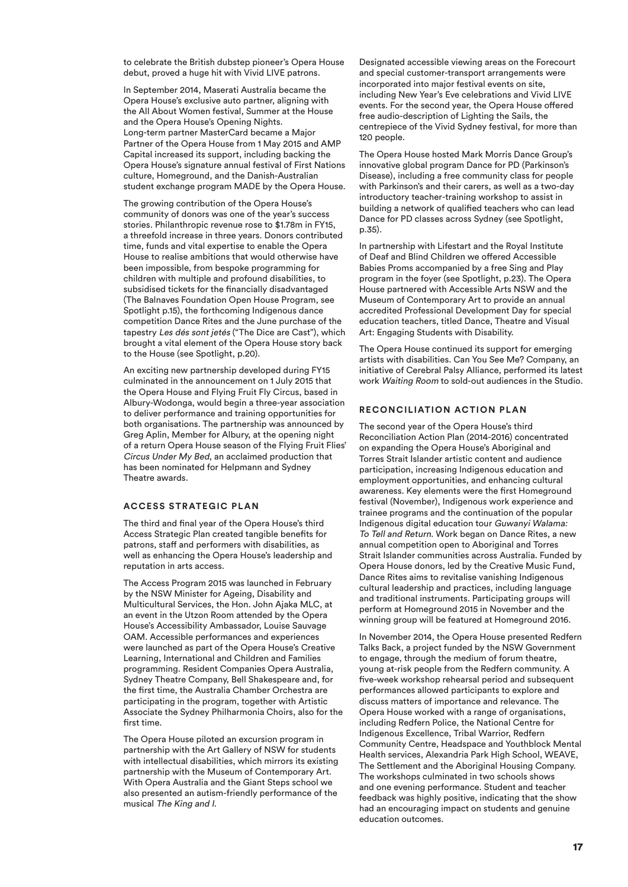to celebrate the British dubstep pioneer's Opera House debut, proved a huge hit with Vivid LIVE patrons.

In September 2014, Maserati Australia became the Opera House's exclusive auto partner, aligning with the All About Women festival, Summer at the House and the Opera House's Opening Nights. Long-term partner MasterCard became a Major Partner of the Opera House from 1 May 2015 and AMP Capital increased its support, including backing the Opera House's signature annual festival of First Nations culture, Homeground, and the Danish-Australian student exchange program MADE by the Opera House.

The growing contribution of the Opera House's community of donors was one of the year's success stories. Philanthropic revenue rose to \$1.78m in FY15, a threefold increase in three years. Donors contributed time, funds and vital expertise to enable the Opera House to realise ambitions that would otherwise have been impossible, from bespoke programming for children with multiple and profound disabilities, to subsidised tickets for the financially disadvantaged (The Balnaves Foundation Open House Program, see Spotlight p.15), the forthcoming Indigenous dance competition Dance Rites and the June purchase of the tapestry Les dés sont jetés ("The Dice are Cast"), which brought a vital element of the Opera House story back to the House (see Spotlight, p.20).

An exciting new partnership developed during FY15 culminated in the announcement on 1 July 2015 that the Opera House and Flying Fruit Fly Circus, based in Albury-Wodonga, would begin a three-year association to deliver performance and training opportunities for both organisations. The partnership was announced by Greg Aplin, Member for Albury, at the opening night of a return Opera House season of the Flying Fruit Flies' Circus Under My Bed, an acclaimed production that has been nominated for Helpmann and Sydney Theatre awards.

#### **ACCESS STRATEGIC PLAN**

The third and final year of the Opera House's third Access Strategic Plan created tangible benefits for patrons, staff and performers with disabilities, as well as enhancing the Opera House's leadership and reputation in arts access.

The Access Program 2015 was launched in February by the NSW Minister for Ageing, Disability and Multicultural Services, the Hon. John Ajaka MLC, at an event in the Utzon Room attended by the Opera House's Accessibility Ambassador, Louise Sauvage OAM. Accessible performances and experiences were launched as part of the Opera House's Creative Learning, International and Children and Families programming. Resident Companies Opera Australia, Sydney Theatre Company, Bell Shakespeare and, for the first time, the Australia Chamber Orchestra are participating in the program, together with Artistic Associate the Sydney Philharmonia Choirs, also for the first time.

The Opera House piloted an excursion program in partnership with the Art Gallery of NSW for students with intellectual disabilities, which mirrors its existing partnership with the Museum of Contemporary Art. With Opera Australia and the Giant Steps school we also presented an autism-friendly performance of the musical The King and I.

Designated accessible viewing areas on the Forecourt and special customer-transport arrangements were incorporated into major festival events on site, including New Year's Eve celebrations and Vivid LIVE events. For the second year, the Opera House offered free audio-description of Lighting the Sails, the centrepiece of the Vivid Sydney festival, for more than 120 people.

The Opera House hosted Mark Morris Dance Group's innovative global program Dance for PD (Parkinson's Disease), including a free community class for people with Parkinson's and their carers, as well as a two-day introductory teacher-training workshop to assist in building a network of qualified teachers who can lead Dance for PD classes across Sydney (see Spotlight, p.35).

In partnership with Lifestart and the Royal Institute of Deaf and Blind Children we offered Accessible Babies Proms accompanied by a free Sing and Play program in the foyer (see Spotlight, p.23). The Opera House partnered with Accessible Arts NSW and the Museum of Contemporary Art to provide an annual accredited Professional Development Day for special education teachers, titled Dance, Theatre and Visual Art: Engaging Students with Disability.

The Opera House continued its support for emerging artists with disabilities. Can You See Me? Company, an initiative of Cerebral Palsy Alliance, performed its latest work Waiting Room to sold-out audiences in the Studio.

#### **RECONCILIATION ACTION PLAN**

The second year of the Opera House's third Reconciliation Action Plan (2014-2016) concentrated on expanding the Opera House's Aboriginal and Torres Strait Islander artistic content and audience participation, increasing Indigenous education and employment opportunities, and enhancing cultural awareness. Key elements were the first Homeground festival (November), Indigenous work experience and trainee programs and the continuation of the popular Indigenous digital education tour Guwanyi Walama: To Tell and Return. Work began on Dance Rites, a new annual competition open to Aboriginal and Torres Strait Islander communities across Australia. Funded by Opera House donors, led by the Creative Music Fund, Dance Rites aims to revitalise vanishing Indigenous cultural leadership and practices, including language and traditional instruments. Participating groups will perform at Homeground 2015 in November and the winning group will be featured at Homeground 2016.

In November 2014, the Opera House presented Redfern Talks Back, a project funded by the NSW Government to engage, through the medium of forum theatre, young at-risk people from the Redfern community. A five-week workshop rehearsal period and subsequent performances allowed participants to explore and discuss matters of importance and relevance. The Opera House worked with a range of organisations, including Redfern Police, the National Centre for Indigenous Excellence, Tribal Warrior, Redfern Community Centre, Headspace and Youthblock Mental Health services, Alexandria Park High School, WEAVE, The Settlement and the Aboriginal Housing Company. The workshops culminated in two schools shows and one evening performance. Student and teacher feedback was highly positive, indicating that the show had an encouraging impact on students and genuine education outcomes.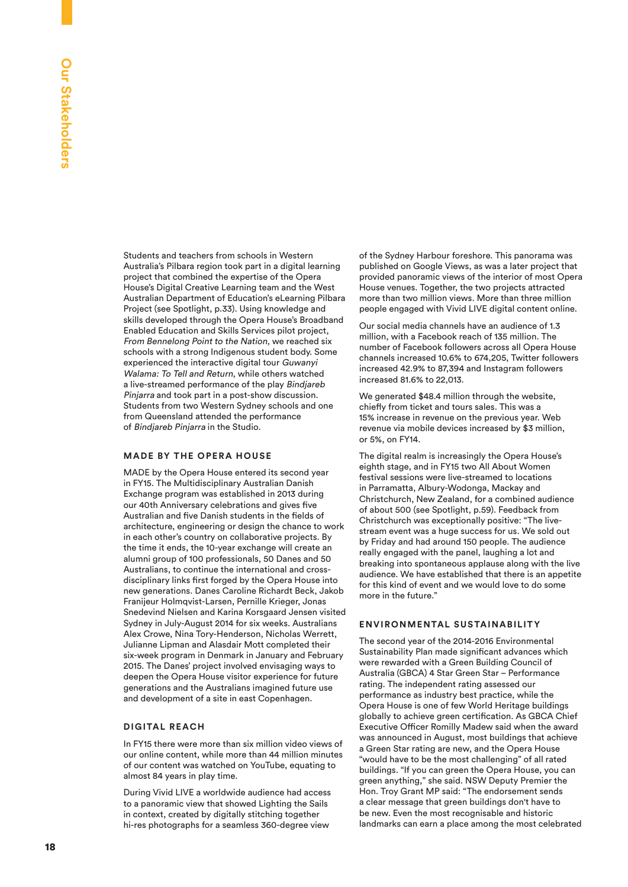Students and teachers from schools in Western Australia's Pilbara region took part in a digital learning project that combined the expertise of the Opera House's Digital Creative Learning team and the West Australian Department of Education's eLearning Pilbara Project (see Spotlight, p.33). Using knowledge and skills developed through the Opera House's Broadband Enabled Education and Skills Services pilot project, From Bennelong Point to the Nation, we reached six schools with a strong Indigenous student body. Some experienced the interactive digital tour Guwanyi Walama: To Tell and Return, while others watched a live-streamed performance of the play Bindjareb Pinjarra and took part in a post-show discussion. Students from two Western Sydney schools and one from Queensland attended the performance of Bindjareb Pinjarra in the Studio.

#### **MADE BY THE OPERA HOUSE**

MADE by the Opera House entered its second year in FY15. The Multidisciplinary Australian Danish Exchange program was established in 2013 during our 40th Anniversary celebrations and gives five Australian and five Danish students in the fields of architecture, engineering or design the chance to work in each other's country on collaborative projects. By the time it ends, the 10-year exchange will create an alumni group of 100 professionals, 50 Danes and 50 Australians, to continue the international and crossdisciplinary links first forged by the Opera House into new generations. Danes Caroline Richardt Beck, Jakob Franijeur Holmqvist-Larsen, Pernille Krieger, Jonas Snedevind Nielsen and Karina Korsgaard Jensen visited Sydney in July-August 2014 for six weeks. Australians Alex Crowe, Nina Tory-Henderson, Nicholas Werrett, Julianne Lipman and Alasdair Mott completed their six-week program in Denmark in January and February 2015. The Danes' project involved envisaging ways to deepen the Opera House visitor experience for future generations and the Australians imagined future use and development of a site in east Copenhagen.

#### **DIGITAL RE ACH**

In FY15 there were more than six million video views of our online content, while more than 44 million minutes of our content was watched on YouTube, equating to almost 84 years in play time.

During Vivid LIVE a worldwide audience had access to a panoramic view that showed Lighting the Sails in context, created by digitally stitching together hi-res photographs for a seamless 360-degree view

of the Sydney Harbour foreshore. This panorama was published on Google Views, as was a later project that provided panoramic views of the interior of most Opera House venues. Together, the two projects attracted more than two million views. More than three million people engaged with Vivid LIVE digital content online.

Our social media channels have an audience of 1.3 million, with a Facebook reach of 135 million. The number of Facebook followers across all Opera House channels increased 10.6% to 674,205, Twitter followers increased 42.9% to 87,394 and Instagram followers increased 81.6% to 22,013.

We generated \$48.4 million through the website, chiefly from ticket and tours sales. This was a 15% increase in revenue on the previous year. Web revenue via mobile devices increased by \$3 million, or 5%, on FY14.

The digital realm is increasingly the Opera House's eighth stage, and in FY15 two All About Women festival sessions were live-streamed to locations in Parramatta, Albury-Wodonga, Mackay and Christchurch, New Zealand, for a combined audience of about 500 (see Spotlight, p.59). Feedback from Christchurch was exceptionally positive: "The livestream event was a huge success for us. We sold out by Friday and had around 150 people. The audience really engaged with the panel, laughing a lot and breaking into spontaneous applause along with the live audience. We have established that there is an appetite for this kind of event and we would love to do some more in the future."

#### **ENVIRONMENTAL SUSTAINABILITY**

The second year of the 2014-2016 Environmental Sustainability Plan made significant advances which were rewarded with a Green Building Council of Australia (GBCA) 4 Star Green Star – Performance rating. The independent rating assessed our performance as industry best practice, while the Opera House is one of few World Heritage buildings globally to achieve green certification. As GBCA Chief Executive Officer Romilly Madew said when the award was announced in August, most buildings that achieve a Green Star rating are new, and the Opera House "would have to be the most challenging" of all rated buildings. "If you can green the Opera House, you can green anything," she said. NSW Deputy Premier the Hon. Troy Grant MP said: "The endorsement sends a clear message that green buildings don't have to be new. Even the most recognisable and historic landmarks can earn a place among the most celebrated